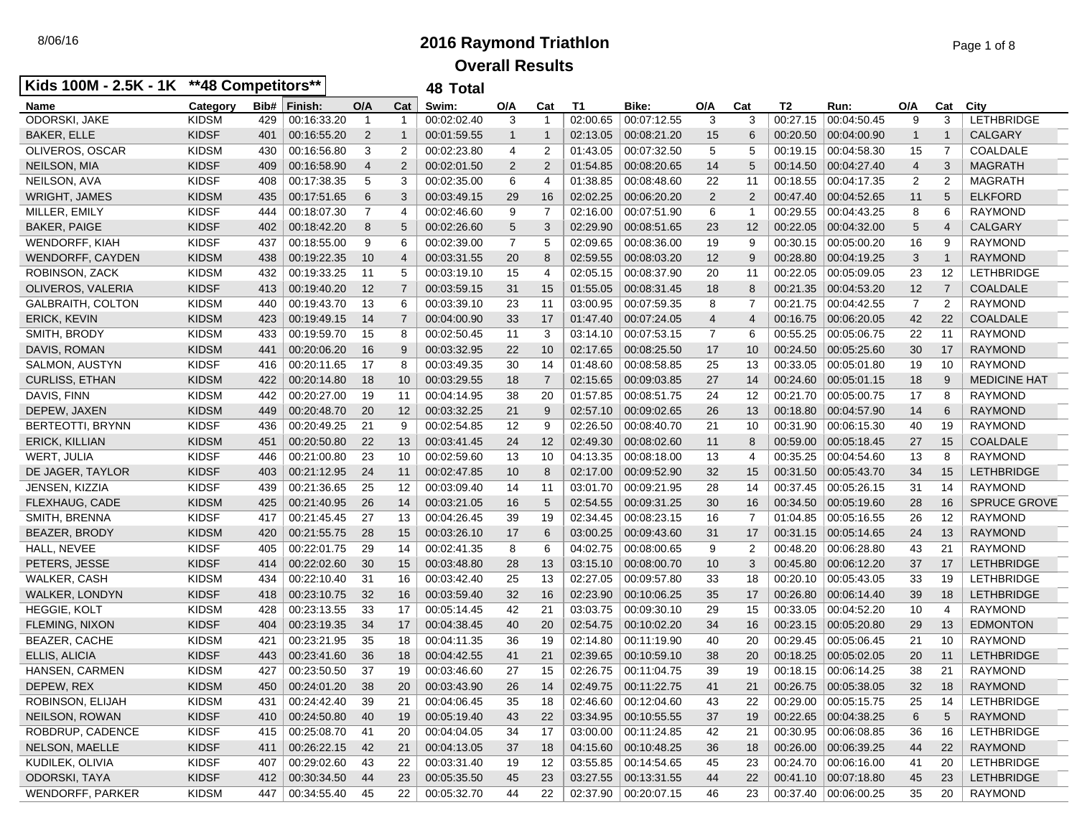## 8/06/16 **2016 Raymond Triathlon** Page 1 of 8 **Overall Results**

| Kids 100M - 2.5K - 1K **48 Competitors** |              |     |                    |                |                | 48 Total    |                 |                |          |                        |                |                |                |                        |                |                   |                     |
|------------------------------------------|--------------|-----|--------------------|----------------|----------------|-------------|-----------------|----------------|----------|------------------------|----------------|----------------|----------------|------------------------|----------------|-------------------|---------------------|
| <b>Name</b>                              | Category     |     | Bib#   Finish:     | O/A            | Cat            | Swim:       | O/A             | Cat            | T1       | Bike:                  | O/A            | Cat            | T <sub>2</sub> | Run:                   | O/A            | Cat               | City                |
| ODORSKI, JAKE                            | <b>KIDSM</b> | 429 | 00:16:33.20        | $\overline{1}$ | $\mathbf{1}$   | 00:02:02.40 | 3               | $\overline{1}$ | 02:00.65 | 00:07:12.55            | 3              | 3              | 00:27.15       | 00:04:50.45            | 9              | 3                 | LETHBRIDGE          |
| <b>BAKER, ELLE</b>                       | <b>KIDSF</b> | 401 | 00:16:55.20        | $\overline{2}$ | $\mathbf{1}$   | 00:01:59.55 | $\mathbf{1}$    | $\overline{1}$ | 02:13.05 | 00:08:21.20            | 15             | 6              | 00:20.50       | 00:04:00.90            | $\mathbf{1}$   | $\mathbf{1}$      | CALGARY             |
| OLIVEROS, OSCAR                          | <b>KIDSM</b> | 430 | 00:16:56.80        | 3              | 2              | 00:02:23.80 | 4               | $\overline{2}$ | 01:43.05 | 00:07:32.50            | 5              | 5              | 00:19.15       | 00:04:58.30            | 15             | $\overline{7}$    | COALDALE            |
| <b>NEILSON, MIA</b>                      | <b>KIDSF</b> | 409 | 00:16:58.90        | $\overline{4}$ | $\overline{2}$ | 00:02:01.50 | $\overline{2}$  | $\overline{2}$ | 01:54.85 | 00:08:20.65            | 14             | 5              | 00:14.50       | 00:04:27.40            | 4              | 3                 | <b>MAGRATH</b>      |
| NEILSON, AVA                             | <b>KIDSF</b> | 408 | 00:17:38.35        | 5              | 3              | 00:02:35.00 | 6               | $\overline{4}$ | 01:38.85 | 00:08:48.60            | 22             | 11             | 00:18.55       | 00:04:17.35            | $\overline{2}$ | 2                 | <b>MAGRATH</b>      |
| <b>WRIGHT, JAMES</b>                     | <b>KIDSM</b> | 435 | 00:17:51.65        | 6              | 3              | 00:03:49.15 | 29              | 16             | 02:02.25 | 00:06:20.20            | $\overline{2}$ | $\overline{2}$ | 00:47.40       | 00:04:52.65            | 11             | 5                 | <b>ELKFORD</b>      |
| MILLER, EMILY                            | <b>KIDSF</b> | 444 | 00:18:07.30        | $\overline{7}$ | 4              | 00:02:46.60 | 9               | $\overline{7}$ | 02:16.00 | 00:07:51.90            | 6              | $\overline{1}$ | 00:29.55       | 00:04:43.25            | 8              | 6                 | <b>RAYMOND</b>      |
| <b>BAKER, PAIGE</b>                      | <b>KIDSF</b> | 402 | 00:18:42.20        | 8              | 5              | 00:02:26.60 | 5               | 3              | 02:29.90 | 00:08:51.65            | 23             | 12             | 00:22.05       | 00:04:32.00            | 5              | $\overline{4}$    | <b>CALGARY</b>      |
| <b>WENDORFF, KIAH</b>                    | <b>KIDSF</b> | 437 | 00:18:55.00        | 9              | 6              | 00:02:39.00 | $\overline{7}$  | 5              | 02:09.65 | 00:08:36.00            | 19             | 9              | 00:30.15       | 00:05:00.20            | 16             | 9                 | <b>RAYMOND</b>      |
| WENDORFF, CAYDEN                         | <b>KIDSM</b> | 438 | 00:19:22.35        | 10             | $\overline{4}$ | 00:03:31.55 | 20              | 8              | 02:59.55 | 00:08:03.20            | 12             | 9              | 00:28.80       | 00:04:19.25            | 3              | $\mathbf{1}$      | <b>RAYMOND</b>      |
| ROBINSON, ZACK                           | <b>KIDSM</b> | 432 | 00:19:33.25        | 11             | 5              | 00:03:19.10 | 15              | $\overline{4}$ | 02:05.15 | 00:08:37.90            | 20             | 11             | 00:22.05       | 00:05:09.05            | 23             | $12 \overline{ }$ | <b>LETHBRIDGE</b>   |
| OLIVEROS, VALERIA                        | <b>KIDSF</b> | 413 | 00:19:40.20        | 12             | $\overline{7}$ | 00:03:59.15 | 31              | 15             | 01:55.05 | 00:08:31.45            | 18             | 8              | 00:21.35       | 00:04:53.20            | 12             | $\overline{7}$    | <b>COALDALE</b>     |
| GALBRAITH, COLTON                        | <b>KIDSM</b> | 440 | 00:19:43.70        | 13             | 6              | 00:03:39.10 | 23              | 11             | 03:00.95 | 00:07:59.35            | 8              | $\overline{7}$ | 00:21.75       | 00:04:42.55            | $\overline{7}$ | 2                 | <b>RAYMOND</b>      |
| <b>ERICK, KEVIN</b>                      | <b>KIDSM</b> | 423 | 00:19:49.15        | 14             | $\overline{7}$ | 00:04:00.90 | 33              | 17             | 01:47.40 | 00:07:24.05            | 4              | $\overline{4}$ | 00:16.75       | 00:06:20.05            | 42             | 22                | COALDALE            |
| SMITH, BRODY                             | <b>KIDSM</b> | 433 | 00:19:59.70        | 15             | 8              | 00:02:50.45 | 11              | 3              | 03:14.10 | 00:07:53.15            | $\overline{7}$ | 6              | 00:55.25       | 00:05:06.75            | 22             | 11                | <b>RAYMOND</b>      |
| DAVIS, ROMAN                             | <b>KIDSM</b> | 441 | 00:20:06.20        | 16             | 9              | 00:03:32.95 | 22              | 10             | 02:17.65 | 00:08:25.50            | 17             | 10             | 00:24.50       | 00:05:25.60            | 30             | 17                | <b>RAYMOND</b>      |
| <b>SALMON, AUSTYN</b>                    | <b>KIDSF</b> | 416 | 00:20:11.65        | 17             | 8              | 00:03:49.35 | 30              | 14             | 01:48.60 | 00:08:58.85            | 25             | 13             | 00:33.05       | 00:05:01.80            | 19             | 10                | <b>RAYMOND</b>      |
| <b>CURLISS, ETHAN</b>                    | <b>KIDSM</b> | 422 | 00:20:14.80        | 18             | 10             | 00:03:29.55 | 18              | $\overline{7}$ | 02:15.65 | 00:09:03.85            | 27             | 14             | 00:24.60       | 00:05:01.15            | 18             | 9                 | <b>MEDICINE HAT</b> |
| DAVIS, FINN                              | <b>KIDSM</b> | 442 | 00:20:27.00        | 19             | 11             | 00:04:14.95 | 38              | 20             | 01:57.85 | 00:08:51.75            | 24             | 12             | 00:21.70       | 00:05:00.75            | 17             | 8                 | <b>RAYMOND</b>      |
| DEPEW, JAXEN                             | <b>KIDSM</b> | 449 | 00:20:48.70        | 20             | 12             | 00:03:32.25 | 21              | 9              | 02:57.10 | 00:09:02.65            | 26             | 13             | 00:18.80       | 00:04:57.90            | 14             | 6                 | <b>RAYMOND</b>      |
| <b>BERTEOTTI, BRYNN</b>                  | <b>KIDSF</b> | 436 | 00:20:49.25        | 21             | 9              | 00:02:54.85 | 12              | 9              | 02:26.50 | 00:08:40.70            | 21             | 10             | 00:31.90       | 00:06:15.30            | 40             | 19                | <b>RAYMOND</b>      |
| <b>ERICK, KILLIAN</b>                    | <b>KIDSM</b> | 451 | 00:20:50.80        | 22             | 13             | 00:03:41.45 | 24              | 12             | 02:49.30 | 00:08:02.60            | 11             | 8              | 00:59.00       | 00:05:18.45            | 27             | 15                | COALDALE            |
| WERT, JULIA                              | <b>KIDSF</b> | 446 | 00:21:00.80        | 23             | 10             | 00:02:59.60 | 13              | 10             | 04:13.35 | 00:08:18.00            | 13             | $\overline{4}$ | 00:35.25       | 00:04:54.60            | 13             | 8                 | <b>RAYMOND</b>      |
| DE JAGER, TAYLOR                         | <b>KIDSF</b> | 403 | 00:21:12.95        | 24             | 11             | 00:02:47.85 | 10 <sup>1</sup> | 8              | 02:17.00 | 00:09:52.90            | 32             | 15             | 00:31.50       | 00:05:43.70            | 34             | 15                | <b>LETHBRIDGE</b>   |
| JENSEN, KIZZIA                           | <b>KIDSF</b> | 439 | 00:21:36.65        | 25             | 12             | 00:03:09.40 | 14              | 11             | 03:01.70 | 00:09:21.95            | 28             | 14             | 00:37.45       | 00:05:26.15            | 31             | 14                | <b>RAYMOND</b>      |
| FLEXHAUG, CADE                           | <b>KIDSM</b> | 425 | 00:21:40.95        | 26             | 14             | 00:03:21.05 | 16              | 5              | 02:54.55 | 00:09:31.25            | 30             | 16             | 00:34.50       | 00:05:19.60            | 28             | 16                | <b>SPRUCE GROVE</b> |
| SMITH, BRENNA                            | <b>KIDSF</b> | 417 | 00:21:45.45        | 27             | 13             | 00:04:26.45 | 39              | 19             | 02:34.45 | 00:08:23.15            | 16             | $\overline{7}$ | 01:04.85       | 00:05:16.55            | 26             | 12                | <b>RAYMOND</b>      |
| <b>BEAZER, BRODY</b>                     | <b>KIDSM</b> | 420 | 00:21:55.75        | 28             | 15             | 00:03:26.10 | 17              | 6              | 03:00.25 | 00:09:43.60            | 31             | 17             | 00:31.15       | 00:05:14.65            | 24             | 13                | <b>RAYMOND</b>      |
| HALL, NEVEE                              | <b>KIDSF</b> | 405 | 00:22:01.75        | 29             | 14             | 00:02:41.35 | 8               | 6              | 04:02.75 | 00:08:00.65            | 9              | 2              | 00:48.20       | 00:06:28.80            | 43             | 21                | <b>RAYMOND</b>      |
| PETERS, JESSE                            | <b>KIDSF</b> | 414 | 00:22:02.60        | 30             | 15             | 00:03:48.80 | 28              | 13             | 03:15.10 | 00:08:00.70            | 10             | 3              | 00:45.80       | 00:06:12.20            | 37             | 17                | <b>LETHBRIDGE</b>   |
| WALKER, CASH                             | <b>KIDSM</b> | 434 | 00:22:10.40        | 31             | 16             | 00:03:42.40 | 25              | 13             | 02:27.05 | 00:09:57.80            | 33             | 18             | 00:20.10       | 00:05:43.05            | 33             | 19                | <b>LETHBRIDGE</b>   |
| WALKER, LONDYN                           | <b>KIDSF</b> | 418 | 00:23:10.75        | 32             | 16             | 00:03:59.40 | 32              | 16             | 02:23.90 | 00:10:06.25            | 35             | 17             | 00:26.80       | 00:06:14.40            | 39             | 18                | <b>LETHBRIDGE</b>   |
| <b>HEGGIE, KOLT</b>                      | <b>KIDSM</b> | 428 | 00:23:13.55        | 33             | 17             | 00:05:14.45 | 42              | 21             | 03:03.75 | 00:09:30.10            | 29             | 15             | 00:33.05       | 00:04:52.20            | 10             | 4                 | <b>RAYMOND</b>      |
| FLEMING, NIXON                           | <b>KIDSF</b> | 404 | 00:23:19.35        | 34             | 17             | 00:04:38.45 | 40              | 20             | 02:54.75 | 00:10:02.20            | 34             | 16             | 00:23.15       | 00:05:20.80            | 29             | 13                | <b>EDMONTON</b>     |
| BEAZER, CACHE                            | <b>KIDSM</b> | 421 | 00:23:21.95        | 35             | 18             | 00:04:11.35 | 36              | 19             | 02:14.80 | 00:11:19.90            | 40             | 20             | 00:29.45       | 00:05:06.45            | 21             | 10                | <b>RAYMOND</b>      |
| ELLIS, ALICIA                            | <b>KIDSF</b> | 443 | 00:23:41.60        | 36             | 18             | 00:04:42.55 | 41              | 21             | 02:39.65 | 00:10:59.10            | 38             | 20             | 00:18.25       | 00:05:02.05            | 20             | 11                | <b>LETHBRIDGE</b>   |
| HANSEN, CARMEN                           | <b>KIDSM</b> | 427 | 00:23:50.50        | -37            | 19             | 00:03:46.60 | 27              | 15             | 02:26.75 | 00:11:04.75            | 39             | 19             | 00:18.15       | 00:06:14.25            | 38             | 21                | RAYMOND             |
| DEPEW, REX                               | <b>KIDSM</b> | 450 | 00:24:01.20 38     |                | 20             | 00:03:43.90 | 26              | 14             |          | 02:49.75   00:11:22.75 | 41             | 21             |                | 00:26.75 00:05:38.05   | 32             | 18                | RAYMOND             |
| ROBINSON, ELIJAH                         | <b>KIDSM</b> | 431 | 00:24:42.40        | 39             | 21             | 00:04:06.45 | 35              | 18             |          | $02:46.60$ 00:12:04.60 | 43             | 22             | 00:29.00       | 00:05:15.75            | 25             | 14                | LETHBRIDGE          |
| <b>NEILSON, ROWAN</b>                    | <b>KIDSF</b> |     | 410 00:24:50.80 40 |                | 19             | 00:05:19.40 | 43              | 22             |          | 03:34.95   00:10:55.55 | 37             | 19             |                | 00:22.65 00:04:38.25   | 6              | 5                 | <b>RAYMOND</b>      |
| ROBDRUP, CADENCE                         | <b>KIDSF</b> | 415 | 00:25:08.70        | 41             | 20             | 00:04:04.05 | 34              | 17             |          | 03:00.00   00:11:24.85 | 42             | 21             | 00:30.95       | 00:06:08.85            | 36             | 16                | <b>LETHBRIDGE</b>   |
| NELSON, MAELLE                           | <b>KIDSF</b> | 411 | 00:26:22.15        | 42             | 21             | 00:04:13.05 | 37              | 18             |          | 04:15.60  00:10:48.25  | 36             | 18             | 00:26.00       | 00:06:39.25            | 44             | 22                | RAYMOND             |
| KUDILEK, OLIVIA                          | <b>KIDSF</b> | 407 | 00:29:02.60        | 43             | 22             | 00:03:31.40 | 19              | 12             |          | 03:55.85   00:14:54.65 | 45             | 23             | 00:24.70       | 00:06:16.00            | 41             | 20                | LETHBRIDGE          |
| ODORSKI, TAYA                            | <b>KIDSF</b> | 412 | 00:30:34.50 44     |                | 23             | 00:05:35.50 | 45              | 23             |          | 03:27.55   00:13:31.55 | 44             | 22             |                | 00:41.10 00:07:18.80   | 45             | 23                | LETHBRIDGE          |
| WENDORFF, PARKER                         | KIDSM        | 447 | 00:34:55.40        | 45             | 22             | 00:05:32.70 | 44              | 22             |          | 02:37.90 00:20:07.15   | 46             | 23             |                | $00:37.40$ 00:06:00.25 | 35             | 20                | RAYMOND             |